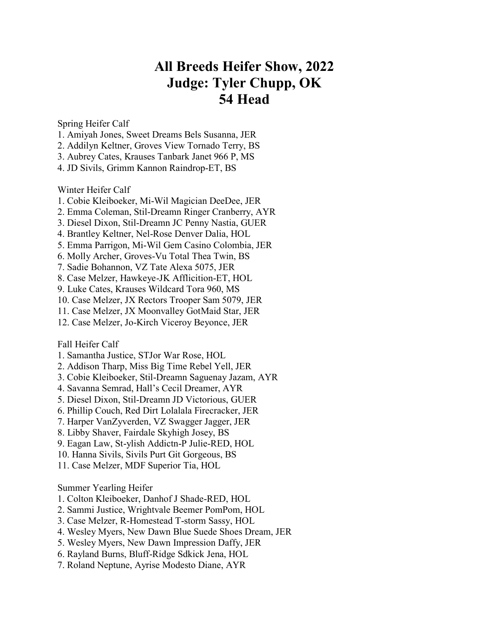## **All Breeds Heifer Show, 2022 Judge: Tyler Chupp, OK 54 Head**

Spring Heifer Calf

- 1. Amiyah Jones, Sweet Dreams Bels Susanna, JER
- 2. Addilyn Keltner, Groves View Tornado Terry, BS
- 3. Aubrey Cates, Krauses Tanbark Janet 966 P, MS
- 4. JD Sivils, Grimm Kannon Raindrop-ET, BS

Winter Heifer Calf

- 1. Cobie Kleiboeker, Mi-Wil Magician DeeDee, JER
- 2. Emma Coleman, Stil-Dreamn Ringer Cranberry, AYR
- 3. Diesel Dixon, Stil-Dreamn JC Penny Nastia, GUER
- 4. Brantley Keltner, Nel-Rose Denver Dalia, HOL
- 5. Emma Parrigon, Mi-Wil Gem Casino Colombia, JER
- 6. Molly Archer, Groves-Vu Total Thea Twin, BS
- 7. Sadie Bohannon, VZ Tate Alexa 5075, JER
- 8. Case Melzer, Hawkeye-JK Afflicition-ET, HOL
- 9. Luke Cates, Krauses Wildcard Tora 960, MS
- 10. Case Melzer, JX Rectors Trooper Sam 5079, JER
- 11. Case Melzer, JX Moonvalley GotMaid Star, JER
- 12. Case Melzer, Jo-Kirch Viceroy Beyonce, JER

Fall Heifer Calf

- 1. Samantha Justice, STJor War Rose, HOL
- 2. Addison Tharp, Miss Big Time Rebel Yell, JER
- 3. Cobie Kleiboeker, Stil-Dreamn Saguenay Jazam, AYR
- 4. Savanna Semrad, Hall's Cecil Dreamer, AYR
- 5. Diesel Dixon, Stil-Dreamn JD Victorious, GUER
- 6. Phillip Couch, Red Dirt Lolalala Firecracker, JER
- 7. Harper VanZyverden, VZ Swagger Jagger, JER
- 8. Libby Shaver, Fairdale Skyhigh Josey, BS
- 9. Eagan Law, St-ylish Addictn-P Julie-RED, HOL
- 10. Hanna Sivils, Sivils Purt Git Gorgeous, BS
- 11. Case Melzer, MDF Superior Tia, HOL

Summer Yearling Heifer

- 1. Colton Kleiboeker, Danhof J Shade-RED, HOL
- 2. Sammi Justice, Wrightvale Beemer PomPom, HOL
- 3. Case Melzer, R-Homestead T-storm Sassy, HOL
- 4. Wesley Myers, New Dawn Blue Suede Shoes Dream, JER
- 5. Wesley Myers, New Dawn Impression Daffy, JER
- 6. Rayland Burns, Bluff-Ridge Sdkick Jena, HOL
- 7. Roland Neptune, Ayrise Modesto Diane, AYR